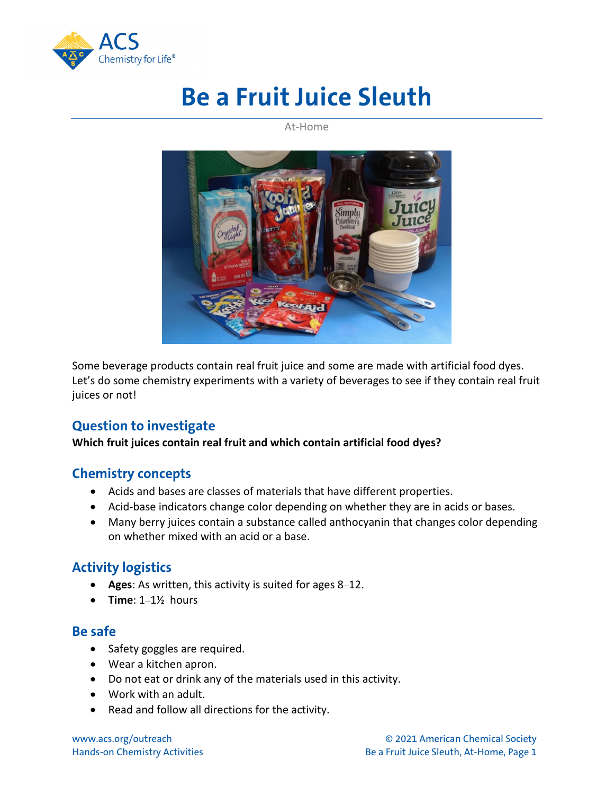

# **Be a Fruit Juice Sleuth**

At-Home



Some beverage products contain real fruit juice and some are made with artificial food dyes. Let's do some chemistry experiments with a variety of beverages to see if they contain real fruit juices or not!

# **Question to investigate**

#### **Which fruit juices contain real fruit and which contain artificial food dyes?**

## **Chemistry concepts**

- Acids and bases are classes of materials that have different properties.
- Acid-base indicators change color depending on whether they are in acids or bases.
- Many berry juices contain a substance called anthocyanin that changes color depending on whether mixed with an acid or a base.

# **Activity logistics**

- **Ages**: As written, this activity is suited for ages 8–12.
- **Time**: 1–1½ hours

#### **Be safe**

- Safety goggles are required.
- Wear a kitchen apron.
- Do not eat or drink any of the materials used in this activity.
- Work with an adult.
- Read and follow all directions for the activity.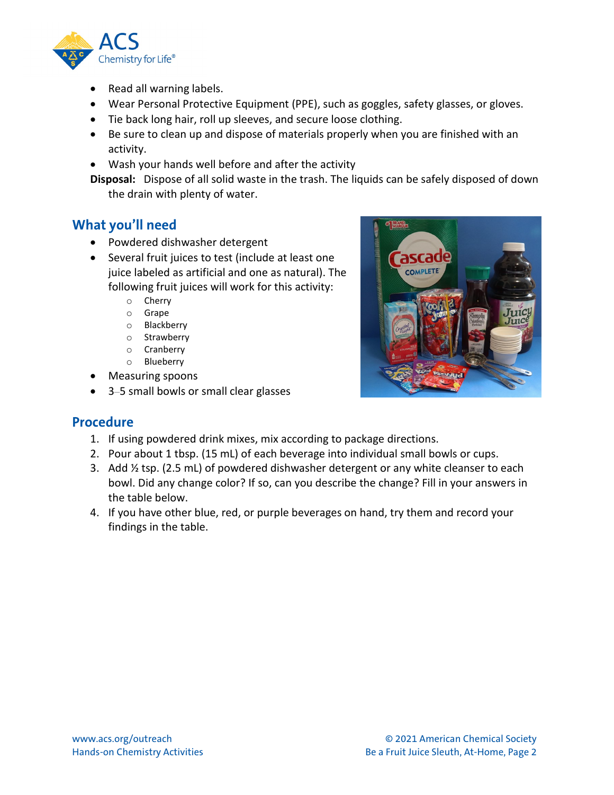

- Read all warning labels.
- Wear Personal Protective Equipment (PPE), such as goggles, safety glasses, or gloves.
- Tie back long hair, roll up sleeves, and secure loose clothing.
- Be sure to clean up and dispose of materials properly when you are finished with an activity.
- Wash your hands well before and after the activity

**Disposal:** Dispose of all solid waste in the trash. The liquids can be safely disposed of down the drain with plenty of water.

## **What you'll need**

- Powdered dishwasher detergent
- Several fruit juices to test (include at least one juice labeled as artificial and one as natural). The following fruit juices will work for this activity:
	- o Cherry
	- o Grape
	- o Blackberry
	- o Strawberry
	- o Cranberry
	- o Blueberry
- Measuring spoons
- 3–5 small bowls or small clear glasses



## **Procedure**

- 1. If using powdered drink mixes, mix according to package directions.
- 2. Pour about 1 tbsp. (15 mL) of each beverage into individual small bowls or cups.
- 3. Add  $\frac{1}{2}$  tsp. (2.5 mL) of powdered dishwasher detergent or any white cleanser to each bowl. Did any change color? If so, can you describe the change? Fill in your answers in the table below.
- 4. If you have other blue, red, or purple beverages on hand, try them and record your findings in the table.